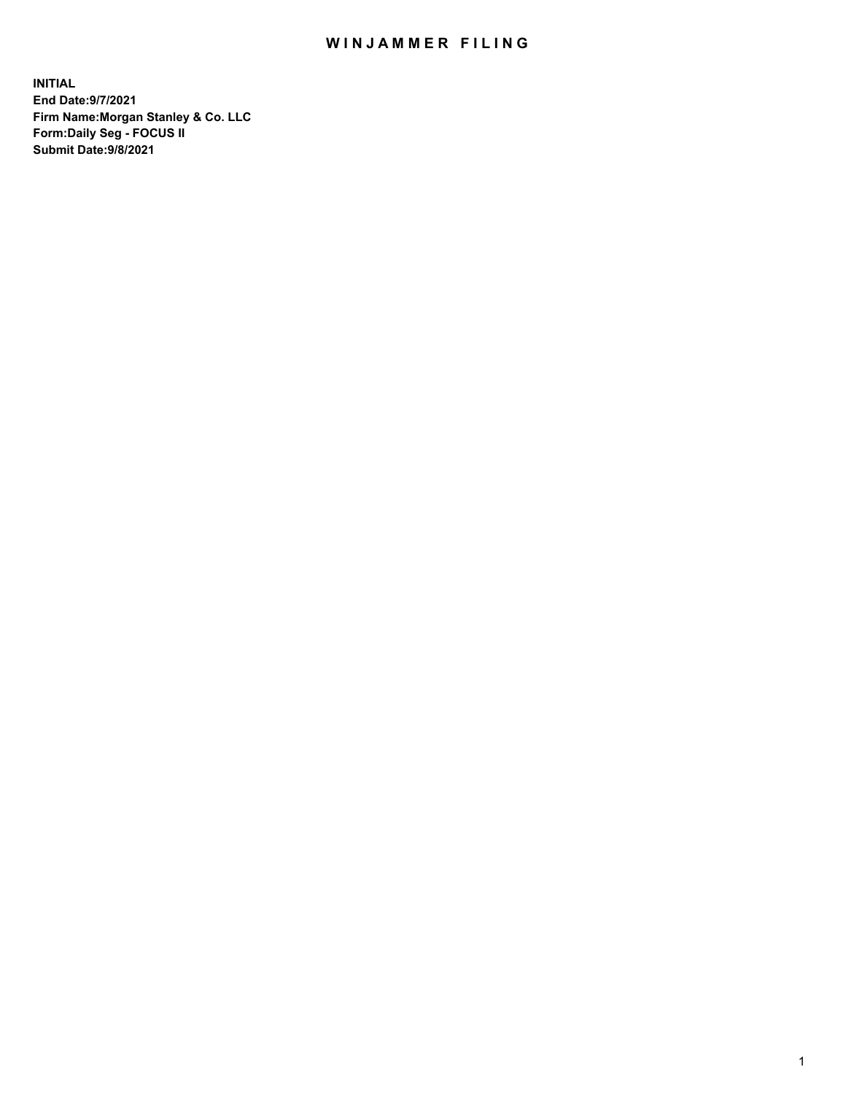## WIN JAMMER FILING

**INITIAL End Date:9/7/2021 Firm Name:Morgan Stanley & Co. LLC Form:Daily Seg - FOCUS II Submit Date:9/8/2021**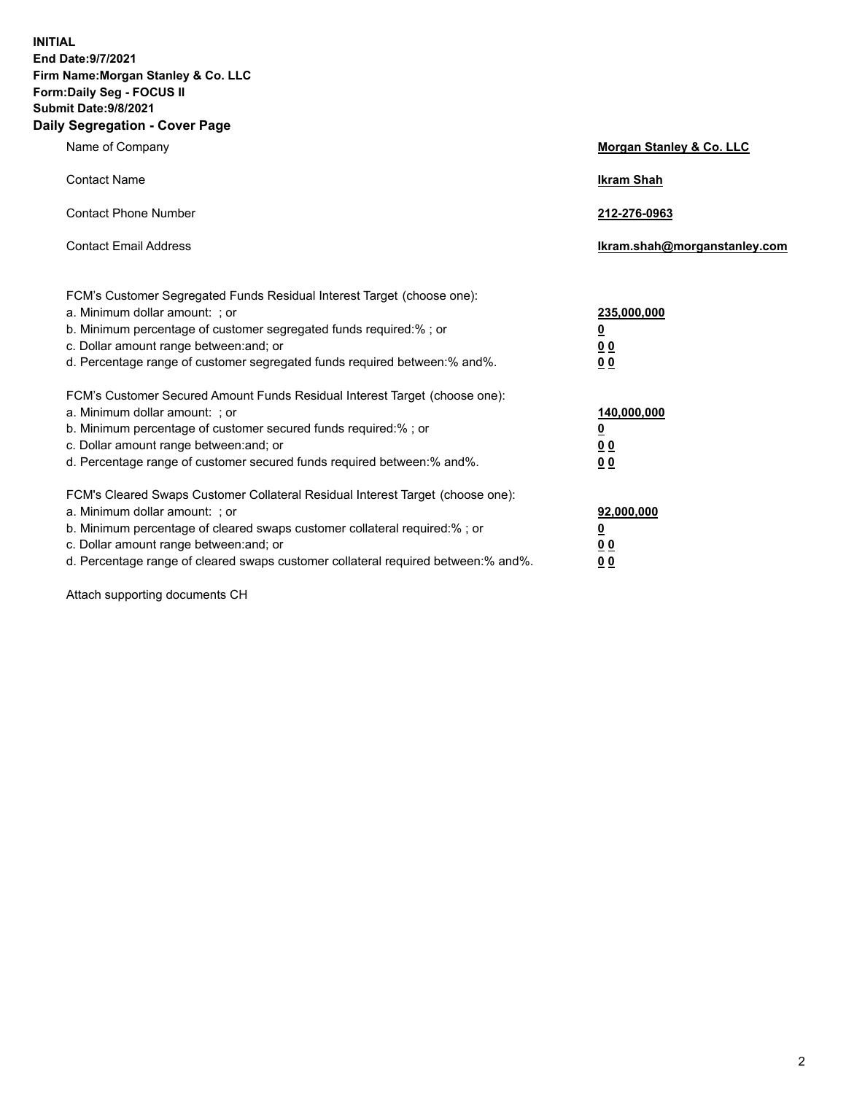**INITIAL End Date:9/7/2021 Firm Name:Morgan Stanley & Co. LLC Form:Daily Seg - FOCUS II Submit Date:9/8/2021 Daily Segregation - Cover Page**

| Name of Company                                                                                                                                                                                                                                                                                                               | Morgan Stanley & Co. LLC                                       |
|-------------------------------------------------------------------------------------------------------------------------------------------------------------------------------------------------------------------------------------------------------------------------------------------------------------------------------|----------------------------------------------------------------|
| <b>Contact Name</b>                                                                                                                                                                                                                                                                                                           | <b>Ikram Shah</b>                                              |
| <b>Contact Phone Number</b>                                                                                                                                                                                                                                                                                                   | 212-276-0963                                                   |
| <b>Contact Email Address</b>                                                                                                                                                                                                                                                                                                  | Ikram.shah@morganstanley.com                                   |
| FCM's Customer Segregated Funds Residual Interest Target (choose one):<br>a. Minimum dollar amount: ; or<br>b. Minimum percentage of customer segregated funds required:% ; or<br>c. Dollar amount range between: and; or<br>d. Percentage range of customer segregated funds required between:% and%.                        | 235,000,000<br><u>0</u><br><u>0 0</u><br>0 Q                   |
| FCM's Customer Secured Amount Funds Residual Interest Target (choose one):<br>a. Minimum dollar amount: ; or<br>b. Minimum percentage of customer secured funds required:%; or<br>c. Dollar amount range between: and; or<br>d. Percentage range of customer secured funds required between: % and %.                         | 140,000,000<br><u>0</u><br><u>00</u><br>0 <sup>0</sup>         |
| FCM's Cleared Swaps Customer Collateral Residual Interest Target (choose one):<br>a. Minimum dollar amount: ; or<br>b. Minimum percentage of cleared swaps customer collateral required:%; or<br>c. Dollar amount range between: and; or<br>d. Percentage range of cleared swaps customer collateral required between:% and%. | 92,000,000<br>$\overline{\mathbf{0}}$<br>0 Q<br>0 <sub>0</sub> |

Attach supporting documents CH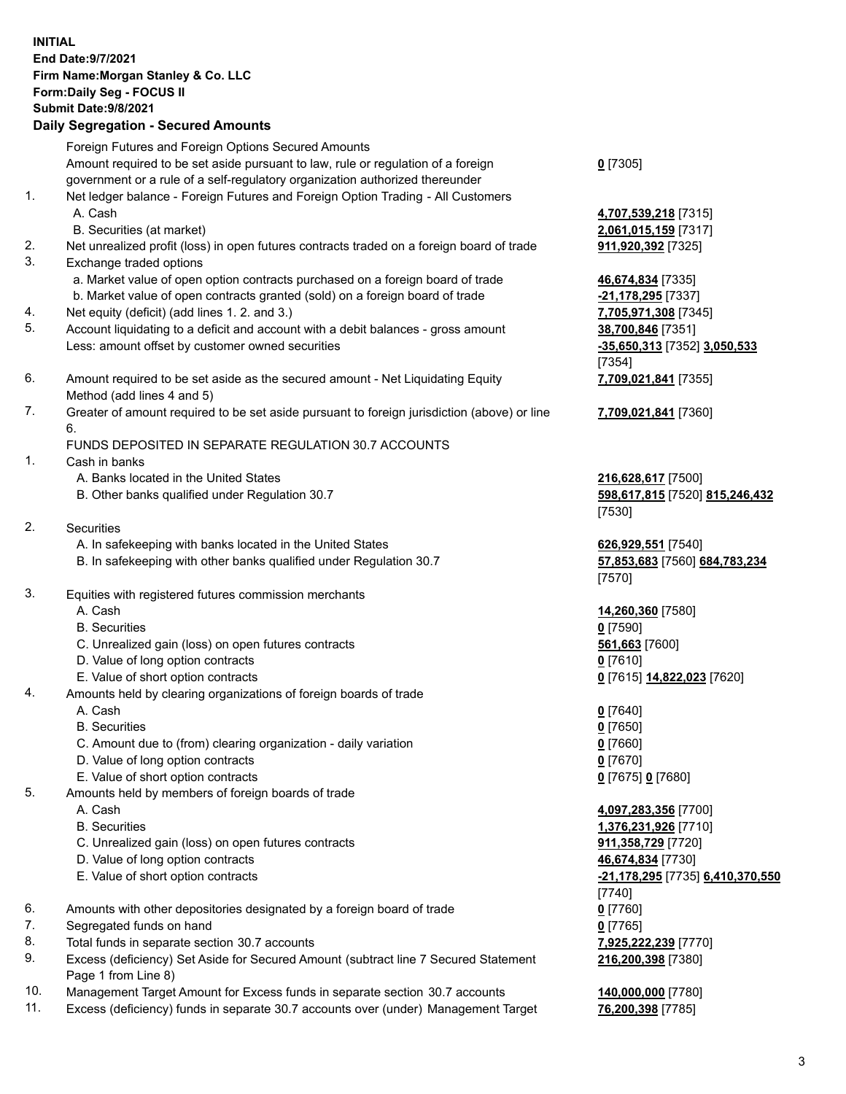## **INITIAL End Date:9/7/2021 Firm Name:Morgan Stanley & Co. LLC Form:Daily Seg - FOCUS II Submit Date:9/8/2021 Daily Segregation - Secured Amounts** Foreign Futures and Foreign Options Secured Amounts Amount required to be set aside pursuant to law, rule or regulation of a foreign government or a rule of a self-regulatory organization authorized thereunder 1. Net ledger balance - Foreign Futures and Foreign Option Trading - All Customers A. Cash **4,707,539,218** [7315] B. Securities (at market) **2,061,015,159** [7317] 2. Net unrealized profit (loss) in open futures contracts traded on a foreign board of trade **911,920,392** [7325] 3. Exchange traded options a. Market value of open option contracts purchased on a foreign board of trade **46,674,834** [7335] b. Market value of open contracts granted (sold) on a foreign board of trade **-21,178,295** [7337] 4. Net equity (deficit) (add lines 1. 2. and 3.) **7,705,971,308** [7345] 5. Account liquidating to a deficit and account with a debit balances - gross amount **38,700,846** [7351] Less: amount offset by customer owned securities **-35,650,313** [7352] **3,050,533** 6. Amount required to be set aside as the secured amount - Net Liquidating Equity Method (add lines 4 and 5) 7. Greater of amount required to be set aside pursuant to foreign jurisdiction (above) or line 6. FUNDS DEPOSITED IN SEPARATE REGULATION 30.7 ACCOUNTS 1. Cash in banks A. Banks located in the United States **216,628,617** [7500] B. Other banks qualified under Regulation 30.7 **598,617,815** [7520] **815,246,432** 2. Securities A. In safekeeping with banks located in the United States **626,929,551** [7540] B. In safekeeping with other banks qualified under Regulation 30.7 **57,853,683** [7560] **684,783,234** 3. Equities with registered futures commission merchants A. Cash **14,260,360** [7580] B. Securities **0** [7590] C. Unrealized gain (loss) on open futures contracts **561,663** [7600] D. Value of long option contracts **0** [7610] E. Value of short option contracts **0** [7615] **14,822,023** [7620] 4. Amounts held by clearing organizations of foreign boards of trade A. Cash **0** [7640] B. Securities **0** [7650]

- C. Amount due to (from) clearing organization daily variation **0** [7660]
- D. Value of long option contracts **0** [7670]
- E. Value of short option contracts **0** [7675] **0** [7680]
- 5. Amounts held by members of foreign boards of trade
	-
	-
	- C. Unrealized gain (loss) on open futures contracts **911,358,729** [7720]
	- D. Value of long option contracts **46,674,834** [7730]
	-
- 6. Amounts with other depositories designated by a foreign board of trade **0** [7760]
- 7. Segregated funds on hand **0** [7765]
- 8. Total funds in separate section 30.7 accounts **7,925,222,239** [7770]
- 9. Excess (deficiency) Set Aside for Secured Amount (subtract line 7 Secured Statement Page 1 from Line 8)
- 10. Management Target Amount for Excess funds in separate section 30.7 accounts **140,000,000** [7780]
- 11. Excess (deficiency) funds in separate 30.7 accounts over (under) Management Target **76,200,398** [7785]

**0** [7305]

[7354] **7,709,021,841** [7355]

**7,709,021,841** [7360]

[7530]

[7570]

 A. Cash **4,097,283,356** [7700] B. Securities **1,376,231,926** [7710] E. Value of short option contracts **-21,178,295** [7735] **6,410,370,550** [7740] **216,200,398** [7380]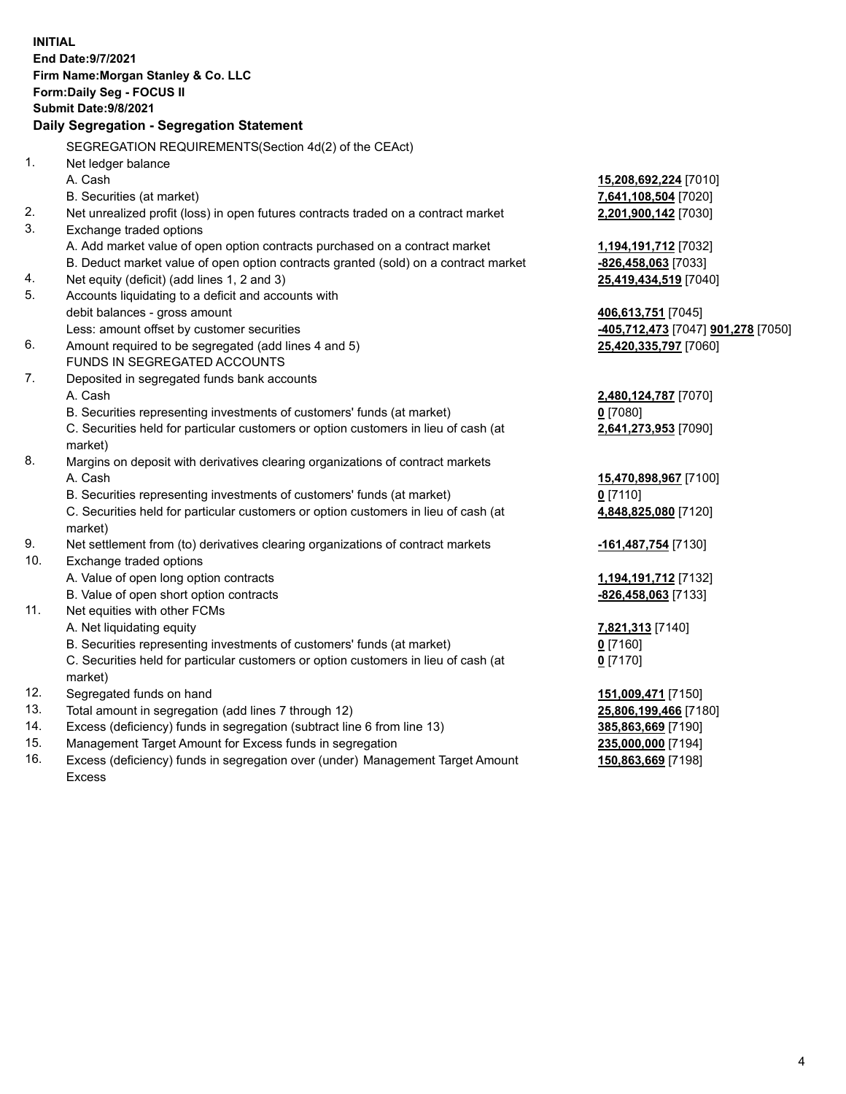|     | <b>INITIAL</b><br>End Date: 9/7/2021<br>Firm Name: Morgan Stanley & Co. LLC<br><b>Form:Daily Seg - FOCUS II</b><br><b>Submit Date: 9/8/2021</b><br>Daily Segregation - Segregation Statement |                                                        |
|-----|----------------------------------------------------------------------------------------------------------------------------------------------------------------------------------------------|--------------------------------------------------------|
|     |                                                                                                                                                                                              |                                                        |
|     | SEGREGATION REQUIREMENTS(Section 4d(2) of the CEAct)                                                                                                                                         |                                                        |
| 1.  | Net ledger balance                                                                                                                                                                           |                                                        |
|     | A. Cash                                                                                                                                                                                      | <u>15,208,692,224</u> [7010]                           |
|     | B. Securities (at market)                                                                                                                                                                    | 7,641,108,504 [7020]                                   |
| 2.  | Net unrealized profit (loss) in open futures contracts traded on a contract market                                                                                                           | 2,201,900,142 [7030]                                   |
| 3.  | Exchange traded options                                                                                                                                                                      |                                                        |
|     | A. Add market value of open option contracts purchased on a contract market                                                                                                                  | <u>1,194,191,712</u> [7032]                            |
|     | B. Deduct market value of open option contracts granted (sold) on a contract market                                                                                                          | <u>-826,458,063</u> [7033]                             |
| 4.  | Net equity (deficit) (add lines 1, 2 and 3)                                                                                                                                                  | 25,419,434,519 [7040]                                  |
| 5.  | Accounts liquidating to a deficit and accounts with                                                                                                                                          |                                                        |
|     | debit balances - gross amount                                                                                                                                                                | <u>406,613,751</u> [7045]                              |
|     | Less: amount offset by customer securities                                                                                                                                                   | <mark>-405,712,473</mark> [7047] <b>901,278</b> [7050] |
| 6.  | Amount required to be segregated (add lines 4 and 5)                                                                                                                                         | 25,420,335,797 [7060]                                  |
|     | FUNDS IN SEGREGATED ACCOUNTS                                                                                                                                                                 |                                                        |
| 7.  | Deposited in segregated funds bank accounts                                                                                                                                                  |                                                        |
|     | A. Cash                                                                                                                                                                                      | 2,480,124,787 [7070]                                   |
|     | B. Securities representing investments of customers' funds (at market)                                                                                                                       | $0$ [7080]                                             |
|     | C. Securities held for particular customers or option customers in lieu of cash (at<br>market)                                                                                               | 2,641,273,953 [7090]                                   |
| 8.  | Margins on deposit with derivatives clearing organizations of contract markets                                                                                                               |                                                        |
|     | A. Cash                                                                                                                                                                                      | 15,470,898,967 [7100]                                  |
|     | B. Securities representing investments of customers' funds (at market)                                                                                                                       | $0$ [7110]                                             |
|     | C. Securities held for particular customers or option customers in lieu of cash (at<br>market)                                                                                               | 4,848,825,080 [7120]                                   |
| 9.  | Net settlement from (to) derivatives clearing organizations of contract markets                                                                                                              | <mark>-161,487,754</mark> [7130]                       |
| 10. | Exchange traded options                                                                                                                                                                      |                                                        |
|     | A. Value of open long option contracts                                                                                                                                                       | <u>1,194,191,712</u> [7132]                            |
|     | B. Value of open short option contracts                                                                                                                                                      | -826,458,063 [7133]                                    |
| 11. | Net equities with other FCMs                                                                                                                                                                 |                                                        |
|     | A. Net liquidating equity                                                                                                                                                                    | 7,821,313 [7140]                                       |
|     | B. Securities representing investments of customers' funds (at market)                                                                                                                       | $0$ [7160]                                             |
|     | C. Securities held for particular customers or option customers in lieu of cash (at                                                                                                          | <u>0</u> [7170]                                        |
|     | market)                                                                                                                                                                                      |                                                        |
| 12. | Segregated funds on hand                                                                                                                                                                     | <u>151,009,471</u> [7150]                              |
| 13. | Total amount in segregation (add lines 7 through 12)                                                                                                                                         | 25,806,199,466 [7180]                                  |
| 14. | Excess (deficiency) funds in segregation (subtract line 6 from line 13)                                                                                                                      | 385,863,669 [7190]                                     |
| 15. | Management Target Amount for Excess funds in segregation                                                                                                                                     | 235,000,000 [7194]                                     |

16. Excess (deficiency) funds in segregation over (under) Management Target Amount Excess

**150,863,669** [7198]